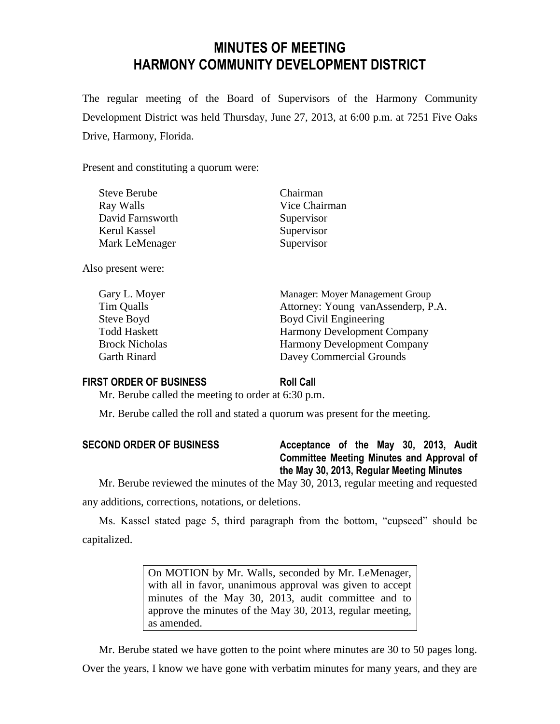# **MINUTES OF MEETING HARMONY COMMUNITY DEVELOPMENT DISTRICT**

The regular meeting of the Board of Supervisors of the Harmony Community Development District was held Thursday, June 27, 2013, at 6:00 p.m. at 7251 Five Oaks Drive, Harmony, Florida.

Present and constituting a quorum were:

| <b>Steve Berube</b> | Chairman      |
|---------------------|---------------|
| Ray Walls           | Vice Chairman |
| David Farnsworth    | Supervisor    |
| Kerul Kassel        | Supervisor    |
| Mark LeMenager      | Supervisor    |
|                     |               |

Also present were:

| Gary L. Moyer         | Manager: Moyer Management Group    |
|-----------------------|------------------------------------|
| Tim Qualls            | Attorney: Young vanAssenderp, P.A. |
| Steve Boyd            | Boyd Civil Engineering             |
| <b>Todd Haskett</b>   | <b>Harmony Development Company</b> |
| <b>Brock Nicholas</b> | <b>Harmony Development Company</b> |
| <b>Garth Rinard</b>   | Davey Commercial Grounds           |

# **FIRST ORDER OF BUSINESS Roll Call**

Mr. Berube called the meeting to order at 6:30 p.m.

Mr. Berube called the roll and stated a quorum was present for the meeting.

| <b>SECOND ORDER OF BUSINESS</b> | Acceptance of the May 30, 2013, Audit            |
|---------------------------------|--------------------------------------------------|
|                                 | <b>Committee Meeting Minutes and Approval of</b> |
|                                 | the May 30, 2013, Regular Meeting Minutes        |

Mr. Berube reviewed the minutes of the May 30, 2013, regular meeting and requested any additions, corrections, notations, or deletions.

Ms. Kassel stated page 5, third paragraph from the bottom, "cupseed" should be capitalized.

> On MOTION by Mr. Walls, seconded by Mr. LeMenager, with all in favor, unanimous approval was given to accept minutes of the May 30, 2013, audit committee and to approve the minutes of the May 30, 2013, regular meeting, as amended.

Mr. Berube stated we have gotten to the point where minutes are 30 to 50 pages long. Over the years, I know we have gone with verbatim minutes for many years, and they are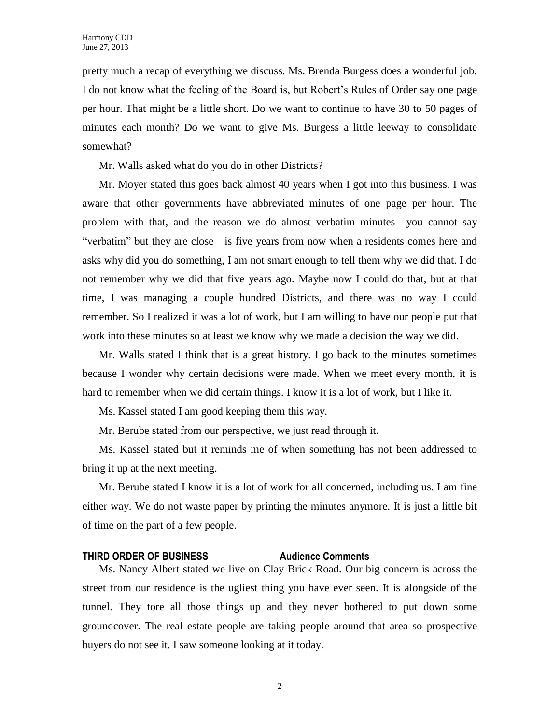pretty much a recap of everything we discuss. Ms. Brenda Burgess does a wonderful job. I do not know what the feeling of the Board is, but Robert's Rules of Order say one page per hour. That might be a little short. Do we want to continue to have 30 to 50 pages of minutes each month? Do we want to give Ms. Burgess a little leeway to consolidate somewhat?

Mr. Walls asked what do you do in other Districts?

Mr. Moyer stated this goes back almost 40 years when I got into this business. I was aware that other governments have abbreviated minutes of one page per hour. The problem with that, and the reason we do almost verbatim minutes—you cannot say "verbatim" but they are close—is five years from now when a residents comes here and asks why did you do something, I am not smart enough to tell them why we did that. I do not remember why we did that five years ago. Maybe now I could do that, but at that time, I was managing a couple hundred Districts, and there was no way I could remember. So I realized it was a lot of work, but I am willing to have our people put that work into these minutes so at least we know why we made a decision the way we did.

Mr. Walls stated I think that is a great history. I go back to the minutes sometimes because I wonder why certain decisions were made. When we meet every month, it is hard to remember when we did certain things. I know it is a lot of work, but I like it.

Ms. Kassel stated I am good keeping them this way.

Mr. Berube stated from our perspective, we just read through it.

Ms. Kassel stated but it reminds me of when something has not been addressed to bring it up at the next meeting.

Mr. Berube stated I know it is a lot of work for all concerned, including us. I am fine either way. We do not waste paper by printing the minutes anymore. It is just a little bit of time on the part of a few people.

# **THIRD ORDER OF BUSINESS Audience Comments**

Ms. Nancy Albert stated we live on Clay Brick Road. Our big concern is across the street from our residence is the ugliest thing you have ever seen. It is alongside of the tunnel. They tore all those things up and they never bothered to put down some groundcover. The real estate people are taking people around that area so prospective buyers do not see it. I saw someone looking at it today.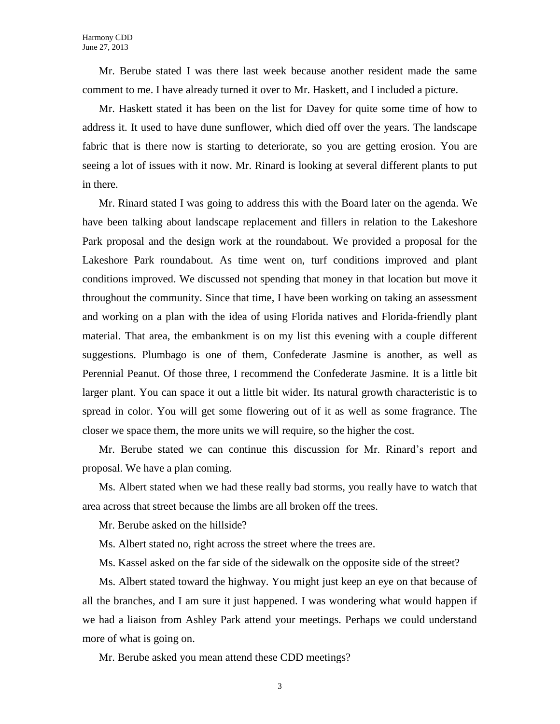Mr. Berube stated I was there last week because another resident made the same comment to me. I have already turned it over to Mr. Haskett, and I included a picture.

Mr. Haskett stated it has been on the list for Davey for quite some time of how to address it. It used to have dune sunflower, which died off over the years. The landscape fabric that is there now is starting to deteriorate, so you are getting erosion. You are seeing a lot of issues with it now. Mr. Rinard is looking at several different plants to put in there.

Mr. Rinard stated I was going to address this with the Board later on the agenda. We have been talking about landscape replacement and fillers in relation to the Lakeshore Park proposal and the design work at the roundabout. We provided a proposal for the Lakeshore Park roundabout. As time went on, turf conditions improved and plant conditions improved. We discussed not spending that money in that location but move it throughout the community. Since that time, I have been working on taking an assessment and working on a plan with the idea of using Florida natives and Florida-friendly plant material. That area, the embankment is on my list this evening with a couple different suggestions. Plumbago is one of them, Confederate Jasmine is another, as well as Perennial Peanut. Of those three, I recommend the Confederate Jasmine. It is a little bit larger plant. You can space it out a little bit wider. Its natural growth characteristic is to spread in color. You will get some flowering out of it as well as some fragrance. The closer we space them, the more units we will require, so the higher the cost.

Mr. Berube stated we can continue this discussion for Mr. Rinard's report and proposal. We have a plan coming.

Ms. Albert stated when we had these really bad storms, you really have to watch that area across that street because the limbs are all broken off the trees.

Mr. Berube asked on the hillside?

Ms. Albert stated no, right across the street where the trees are.

Ms. Kassel asked on the far side of the sidewalk on the opposite side of the street?

Ms. Albert stated toward the highway. You might just keep an eye on that because of all the branches, and I am sure it just happened. I was wondering what would happen if we had a liaison from Ashley Park attend your meetings. Perhaps we could understand more of what is going on.

Mr. Berube asked you mean attend these CDD meetings?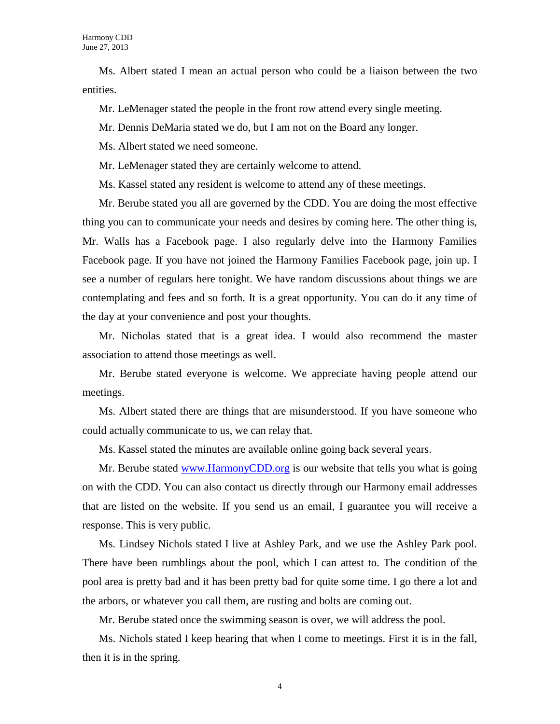Ms. Albert stated I mean an actual person who could be a liaison between the two entities.

Mr. LeMenager stated the people in the front row attend every single meeting.

Mr. Dennis DeMaria stated we do, but I am not on the Board any longer.

Ms. Albert stated we need someone.

Mr. LeMenager stated they are certainly welcome to attend.

Ms. Kassel stated any resident is welcome to attend any of these meetings.

Mr. Berube stated you all are governed by the CDD. You are doing the most effective thing you can to communicate your needs and desires by coming here. The other thing is, Mr. Walls has a Facebook page. I also regularly delve into the Harmony Families Facebook page. If you have not joined the Harmony Families Facebook page, join up. I see a number of regulars here tonight. We have random discussions about things we are contemplating and fees and so forth. It is a great opportunity. You can do it any time of the day at your convenience and post your thoughts.

Mr. Nicholas stated that is a great idea. I would also recommend the master association to attend those meetings as well.

Mr. Berube stated everyone is welcome. We appreciate having people attend our meetings.

Ms. Albert stated there are things that are misunderstood. If you have someone who could actually communicate to us, we can relay that.

Ms. Kassel stated the minutes are available online going back several years.

Mr. Berube stated [www.HarmonyCDD.org](http://www.harmonycdd.org/) is our website that tells you what is going on with the CDD. You can also contact us directly through our Harmony email addresses that are listed on the website. If you send us an email, I guarantee you will receive a response. This is very public.

Ms. Lindsey Nichols stated I live at Ashley Park, and we use the Ashley Park pool. There have been rumblings about the pool, which I can attest to. The condition of the pool area is pretty bad and it has been pretty bad for quite some time. I go there a lot and the arbors, or whatever you call them, are rusting and bolts are coming out.

Mr. Berube stated once the swimming season is over, we will address the pool.

Ms. Nichols stated I keep hearing that when I come to meetings. First it is in the fall, then it is in the spring.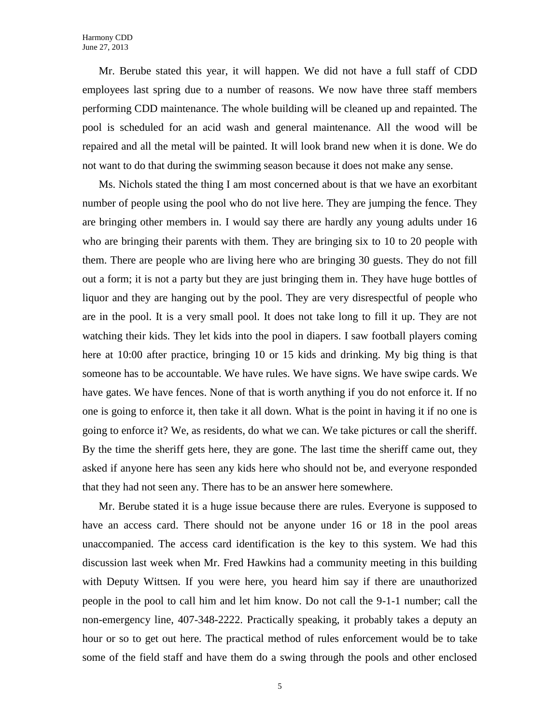Mr. Berube stated this year, it will happen. We did not have a full staff of CDD employees last spring due to a number of reasons. We now have three staff members performing CDD maintenance. The whole building will be cleaned up and repainted. The pool is scheduled for an acid wash and general maintenance. All the wood will be repaired and all the metal will be painted. It will look brand new when it is done. We do not want to do that during the swimming season because it does not make any sense.

Ms. Nichols stated the thing I am most concerned about is that we have an exorbitant number of people using the pool who do not live here. They are jumping the fence. They are bringing other members in. I would say there are hardly any young adults under 16 who are bringing their parents with them. They are bringing six to 10 to 20 people with them. There are people who are living here who are bringing 30 guests. They do not fill out a form; it is not a party but they are just bringing them in. They have huge bottles of liquor and they are hanging out by the pool. They are very disrespectful of people who are in the pool. It is a very small pool. It does not take long to fill it up. They are not watching their kids. They let kids into the pool in diapers. I saw football players coming here at 10:00 after practice, bringing 10 or 15 kids and drinking. My big thing is that someone has to be accountable. We have rules. We have signs. We have swipe cards. We have gates. We have fences. None of that is worth anything if you do not enforce it. If no one is going to enforce it, then take it all down. What is the point in having it if no one is going to enforce it? We, as residents, do what we can. We take pictures or call the sheriff. By the time the sheriff gets here, they are gone. The last time the sheriff came out, they asked if anyone here has seen any kids here who should not be, and everyone responded that they had not seen any. There has to be an answer here somewhere.

Mr. Berube stated it is a huge issue because there are rules. Everyone is supposed to have an access card. There should not be anyone under 16 or 18 in the pool areas unaccompanied. The access card identification is the key to this system. We had this discussion last week when Mr. Fred Hawkins had a community meeting in this building with Deputy Wittsen. If you were here, you heard him say if there are unauthorized people in the pool to call him and let him know. Do not call the 9-1-1 number; call the non-emergency line, 407-348-2222. Practically speaking, it probably takes a deputy an hour or so to get out here. The practical method of rules enforcement would be to take some of the field staff and have them do a swing through the pools and other enclosed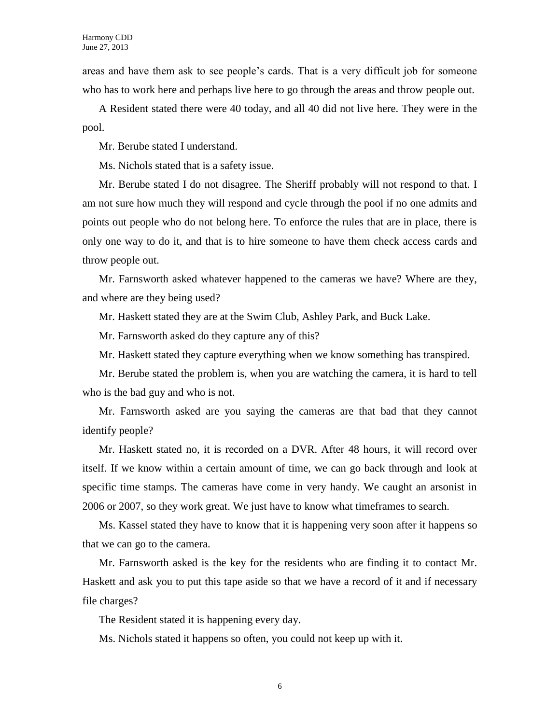areas and have them ask to see people's cards. That is a very difficult job for someone who has to work here and perhaps live here to go through the areas and throw people out.

A Resident stated there were 40 today, and all 40 did not live here. They were in the pool.

Mr. Berube stated I understand.

Ms. Nichols stated that is a safety issue.

Mr. Berube stated I do not disagree. The Sheriff probably will not respond to that. I am not sure how much they will respond and cycle through the pool if no one admits and points out people who do not belong here. To enforce the rules that are in place, there is only one way to do it, and that is to hire someone to have them check access cards and throw people out.

Mr. Farnsworth asked whatever happened to the cameras we have? Where are they, and where are they being used?

Mr. Haskett stated they are at the Swim Club, Ashley Park, and Buck Lake.

Mr. Farnsworth asked do they capture any of this?

Mr. Haskett stated they capture everything when we know something has transpired.

Mr. Berube stated the problem is, when you are watching the camera, it is hard to tell who is the bad guy and who is not.

Mr. Farnsworth asked are you saying the cameras are that bad that they cannot identify people?

Mr. Haskett stated no, it is recorded on a DVR. After 48 hours, it will record over itself. If we know within a certain amount of time, we can go back through and look at specific time stamps. The cameras have come in very handy. We caught an arsonist in 2006 or 2007, so they work great. We just have to know what timeframes to search.

Ms. Kassel stated they have to know that it is happening very soon after it happens so that we can go to the camera.

Mr. Farnsworth asked is the key for the residents who are finding it to contact Mr. Haskett and ask you to put this tape aside so that we have a record of it and if necessary file charges?

The Resident stated it is happening every day.

Ms. Nichols stated it happens so often, you could not keep up with it.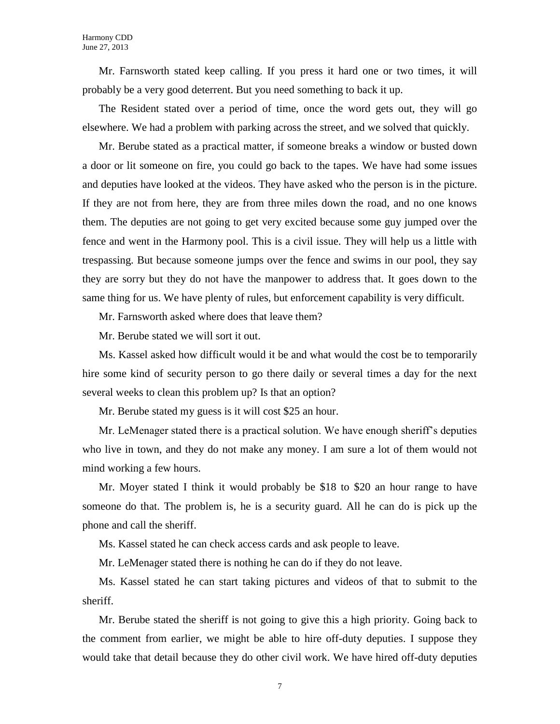Mr. Farnsworth stated keep calling. If you press it hard one or two times, it will probably be a very good deterrent. But you need something to back it up.

The Resident stated over a period of time, once the word gets out, they will go elsewhere. We had a problem with parking across the street, and we solved that quickly.

Mr. Berube stated as a practical matter, if someone breaks a window or busted down a door or lit someone on fire, you could go back to the tapes. We have had some issues and deputies have looked at the videos. They have asked who the person is in the picture. If they are not from here, they are from three miles down the road, and no one knows them. The deputies are not going to get very excited because some guy jumped over the fence and went in the Harmony pool. This is a civil issue. They will help us a little with trespassing. But because someone jumps over the fence and swims in our pool, they say they are sorry but they do not have the manpower to address that. It goes down to the same thing for us. We have plenty of rules, but enforcement capability is very difficult.

Mr. Farnsworth asked where does that leave them?

Mr. Berube stated we will sort it out.

Ms. Kassel asked how difficult would it be and what would the cost be to temporarily hire some kind of security person to go there daily or several times a day for the next several weeks to clean this problem up? Is that an option?

Mr. Berube stated my guess is it will cost \$25 an hour.

Mr. LeMenager stated there is a practical solution. We have enough sheriff's deputies who live in town, and they do not make any money. I am sure a lot of them would not mind working a few hours.

Mr. Moyer stated I think it would probably be \$18 to \$20 an hour range to have someone do that. The problem is, he is a security guard. All he can do is pick up the phone and call the sheriff.

Ms. Kassel stated he can check access cards and ask people to leave.

Mr. LeMenager stated there is nothing he can do if they do not leave.

Ms. Kassel stated he can start taking pictures and videos of that to submit to the sheriff.

Mr. Berube stated the sheriff is not going to give this a high priority. Going back to the comment from earlier, we might be able to hire off-duty deputies. I suppose they would take that detail because they do other civil work. We have hired off-duty deputies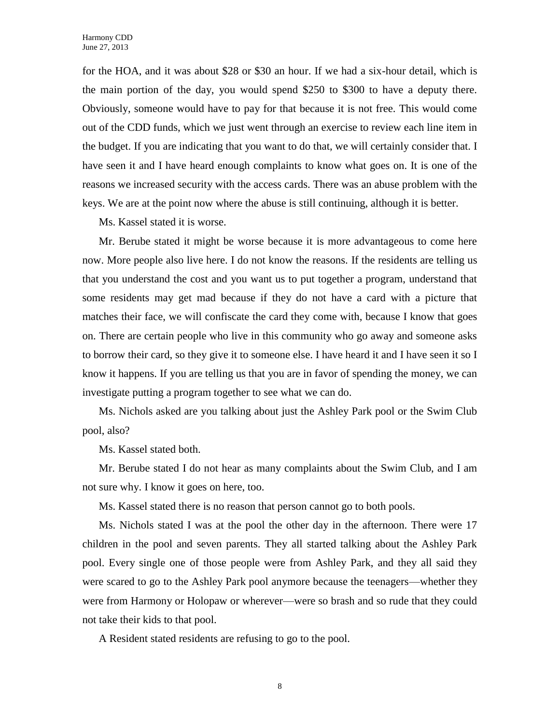for the HOA, and it was about \$28 or \$30 an hour. If we had a six-hour detail, which is the main portion of the day, you would spend \$250 to \$300 to have a deputy there. Obviously, someone would have to pay for that because it is not free. This would come out of the CDD funds, which we just went through an exercise to review each line item in the budget. If you are indicating that you want to do that, we will certainly consider that. I have seen it and I have heard enough complaints to know what goes on. It is one of the reasons we increased security with the access cards. There was an abuse problem with the keys. We are at the point now where the abuse is still continuing, although it is better.

Ms. Kassel stated it is worse.

Mr. Berube stated it might be worse because it is more advantageous to come here now. More people also live here. I do not know the reasons. If the residents are telling us that you understand the cost and you want us to put together a program, understand that some residents may get mad because if they do not have a card with a picture that matches their face, we will confiscate the card they come with, because I know that goes on. There are certain people who live in this community who go away and someone asks to borrow their card, so they give it to someone else. I have heard it and I have seen it so I know it happens. If you are telling us that you are in favor of spending the money, we can investigate putting a program together to see what we can do.

Ms. Nichols asked are you talking about just the Ashley Park pool or the Swim Club pool, also?

Ms. Kassel stated both.

Mr. Berube stated I do not hear as many complaints about the Swim Club, and I am not sure why. I know it goes on here, too.

Ms. Kassel stated there is no reason that person cannot go to both pools.

Ms. Nichols stated I was at the pool the other day in the afternoon. There were 17 children in the pool and seven parents. They all started talking about the Ashley Park pool. Every single one of those people were from Ashley Park, and they all said they were scared to go to the Ashley Park pool anymore because the teenagers—whether they were from Harmony or Holopaw or wherever—were so brash and so rude that they could not take their kids to that pool.

A Resident stated residents are refusing to go to the pool.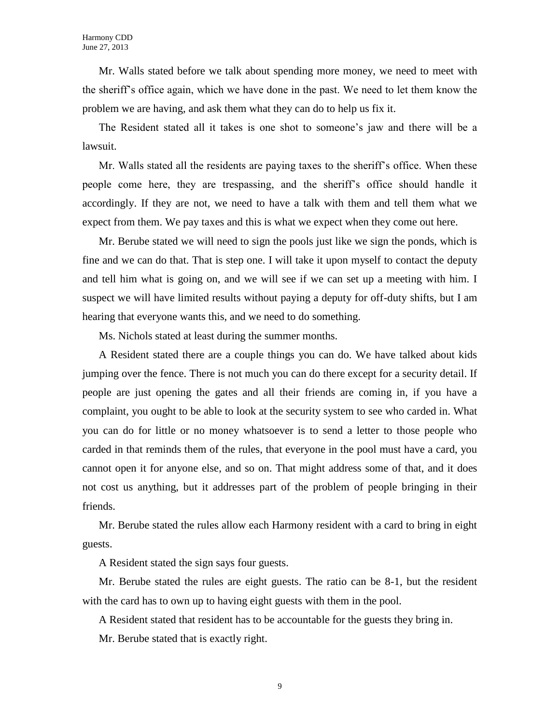Mr. Walls stated before we talk about spending more money, we need to meet with the sheriff's office again, which we have done in the past. We need to let them know the problem we are having, and ask them what they can do to help us fix it.

The Resident stated all it takes is one shot to someone's jaw and there will be a lawsuit.

Mr. Walls stated all the residents are paying taxes to the sheriff's office. When these people come here, they are trespassing, and the sheriff's office should handle it accordingly. If they are not, we need to have a talk with them and tell them what we expect from them. We pay taxes and this is what we expect when they come out here.

Mr. Berube stated we will need to sign the pools just like we sign the ponds, which is fine and we can do that. That is step one. I will take it upon myself to contact the deputy and tell him what is going on, and we will see if we can set up a meeting with him. I suspect we will have limited results without paying a deputy for off-duty shifts, but I am hearing that everyone wants this, and we need to do something.

Ms. Nichols stated at least during the summer months.

A Resident stated there are a couple things you can do. We have talked about kids jumping over the fence. There is not much you can do there except for a security detail. If people are just opening the gates and all their friends are coming in, if you have a complaint, you ought to be able to look at the security system to see who carded in. What you can do for little or no money whatsoever is to send a letter to those people who carded in that reminds them of the rules, that everyone in the pool must have a card, you cannot open it for anyone else, and so on. That might address some of that, and it does not cost us anything, but it addresses part of the problem of people bringing in their friends.

Mr. Berube stated the rules allow each Harmony resident with a card to bring in eight guests.

A Resident stated the sign says four guests.

Mr. Berube stated the rules are eight guests. The ratio can be 8-1, but the resident with the card has to own up to having eight guests with them in the pool.

A Resident stated that resident has to be accountable for the guests they bring in.

Mr. Berube stated that is exactly right.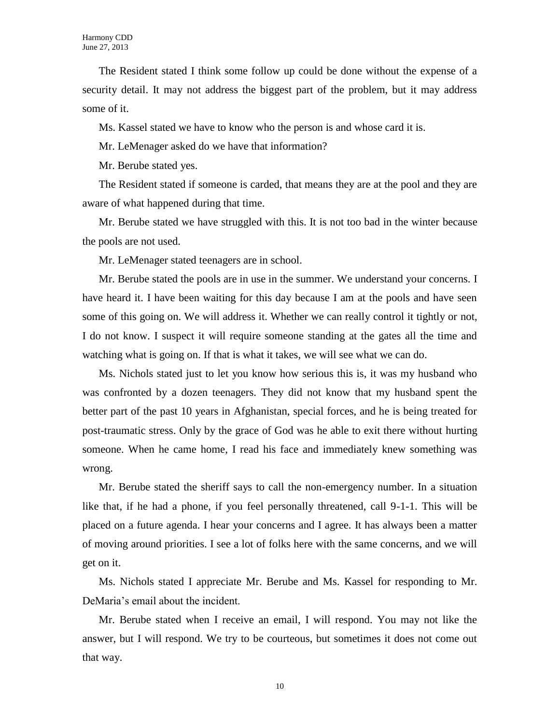The Resident stated I think some follow up could be done without the expense of a security detail. It may not address the biggest part of the problem, but it may address some of it.

Ms. Kassel stated we have to know who the person is and whose card it is.

Mr. LeMenager asked do we have that information?

Mr. Berube stated yes.

The Resident stated if someone is carded, that means they are at the pool and they are aware of what happened during that time.

Mr. Berube stated we have struggled with this. It is not too bad in the winter because the pools are not used.

Mr. LeMenager stated teenagers are in school.

Mr. Berube stated the pools are in use in the summer. We understand your concerns. I have heard it. I have been waiting for this day because I am at the pools and have seen some of this going on. We will address it. Whether we can really control it tightly or not, I do not know. I suspect it will require someone standing at the gates all the time and watching what is going on. If that is what it takes, we will see what we can do.

Ms. Nichols stated just to let you know how serious this is, it was my husband who was confronted by a dozen teenagers. They did not know that my husband spent the better part of the past 10 years in Afghanistan, special forces, and he is being treated for post-traumatic stress. Only by the grace of God was he able to exit there without hurting someone. When he came home, I read his face and immediately knew something was wrong.

Mr. Berube stated the sheriff says to call the non-emergency number. In a situation like that, if he had a phone, if you feel personally threatened, call 9-1-1. This will be placed on a future agenda. I hear your concerns and I agree. It has always been a matter of moving around priorities. I see a lot of folks here with the same concerns, and we will get on it.

Ms. Nichols stated I appreciate Mr. Berube and Ms. Kassel for responding to Mr. DeMaria's email about the incident.

Mr. Berube stated when I receive an email, I will respond. You may not like the answer, but I will respond. We try to be courteous, but sometimes it does not come out that way.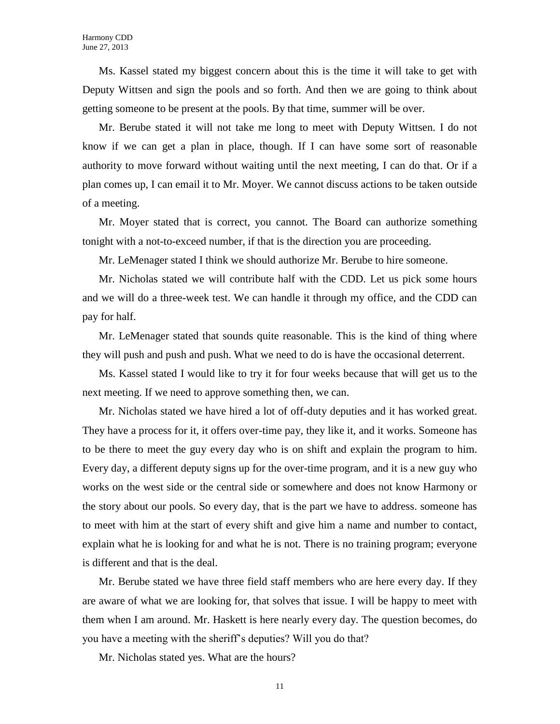Ms. Kassel stated my biggest concern about this is the time it will take to get with Deputy Wittsen and sign the pools and so forth. And then we are going to think about getting someone to be present at the pools. By that time, summer will be over.

Mr. Berube stated it will not take me long to meet with Deputy Wittsen. I do not know if we can get a plan in place, though. If I can have some sort of reasonable authority to move forward without waiting until the next meeting, I can do that. Or if a plan comes up, I can email it to Mr. Moyer. We cannot discuss actions to be taken outside of a meeting.

Mr. Moyer stated that is correct, you cannot. The Board can authorize something tonight with a not-to-exceed number, if that is the direction you are proceeding.

Mr. LeMenager stated I think we should authorize Mr. Berube to hire someone.

Mr. Nicholas stated we will contribute half with the CDD. Let us pick some hours and we will do a three-week test. We can handle it through my office, and the CDD can pay for half.

Mr. LeMenager stated that sounds quite reasonable. This is the kind of thing where they will push and push and push. What we need to do is have the occasional deterrent.

Ms. Kassel stated I would like to try it for four weeks because that will get us to the next meeting. If we need to approve something then, we can.

Mr. Nicholas stated we have hired a lot of off-duty deputies and it has worked great. They have a process for it, it offers over-time pay, they like it, and it works. Someone has to be there to meet the guy every day who is on shift and explain the program to him. Every day, a different deputy signs up for the over-time program, and it is a new guy who works on the west side or the central side or somewhere and does not know Harmony or the story about our pools. So every day, that is the part we have to address. someone has to meet with him at the start of every shift and give him a name and number to contact, explain what he is looking for and what he is not. There is no training program; everyone is different and that is the deal.

Mr. Berube stated we have three field staff members who are here every day. If they are aware of what we are looking for, that solves that issue. I will be happy to meet with them when I am around. Mr. Haskett is here nearly every day. The question becomes, do you have a meeting with the sheriff's deputies? Will you do that?

Mr. Nicholas stated yes. What are the hours?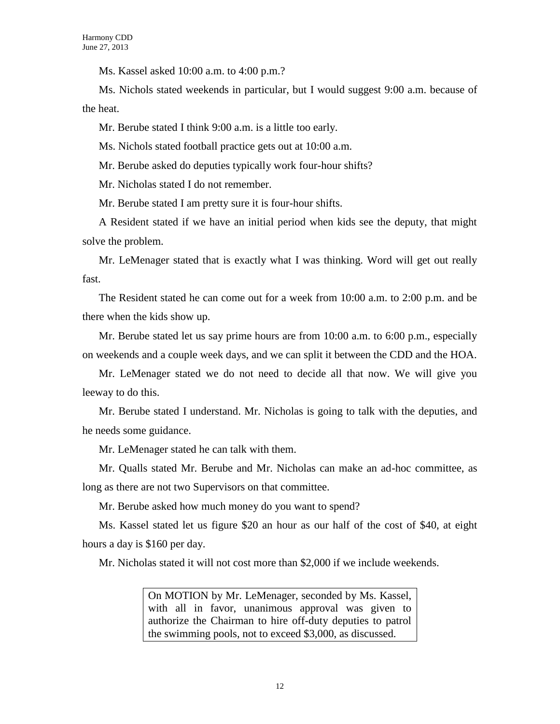Ms. Kassel asked 10:00 a.m. to 4:00 p.m.?

Ms. Nichols stated weekends in particular, but I would suggest 9:00 a.m. because of the heat.

Mr. Berube stated I think 9:00 a.m. is a little too early.

Ms. Nichols stated football practice gets out at 10:00 a.m.

Mr. Berube asked do deputies typically work four-hour shifts?

Mr. Nicholas stated I do not remember.

Mr. Berube stated I am pretty sure it is four-hour shifts.

A Resident stated if we have an initial period when kids see the deputy, that might solve the problem.

Mr. LeMenager stated that is exactly what I was thinking. Word will get out really fast.

The Resident stated he can come out for a week from 10:00 a.m. to 2:00 p.m. and be there when the kids show up.

Mr. Berube stated let us say prime hours are from 10:00 a.m. to 6:00 p.m., especially on weekends and a couple week days, and we can split it between the CDD and the HOA.

Mr. LeMenager stated we do not need to decide all that now. We will give you leeway to do this.

Mr. Berube stated I understand. Mr. Nicholas is going to talk with the deputies, and he needs some guidance.

Mr. LeMenager stated he can talk with them.

Mr. Qualls stated Mr. Berube and Mr. Nicholas can make an ad-hoc committee, as long as there are not two Supervisors on that committee.

Mr. Berube asked how much money do you want to spend?

Ms. Kassel stated let us figure \$20 an hour as our half of the cost of \$40, at eight hours a day is \$160 per day.

Mr. Nicholas stated it will not cost more than \$2,000 if we include weekends.

On MOTION by Mr. LeMenager, seconded by Ms. Kassel, with all in favor, unanimous approval was given to authorize the Chairman to hire off-duty deputies to patrol the swimming pools, not to exceed \$3,000, as discussed.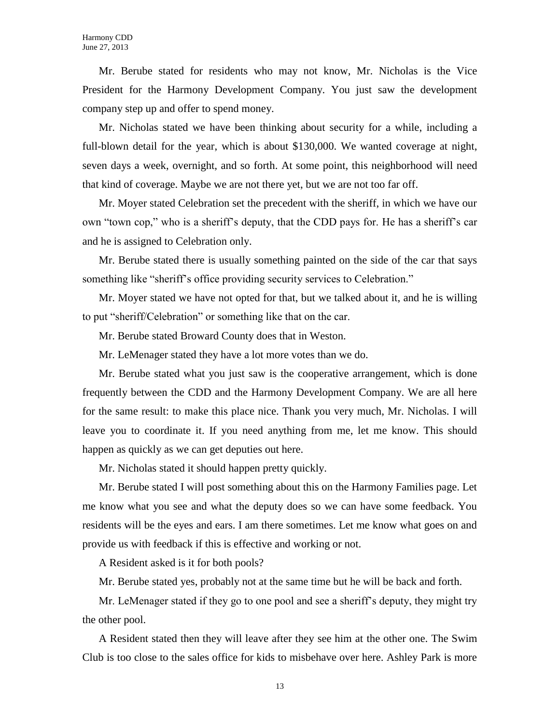Mr. Berube stated for residents who may not know, Mr. Nicholas is the Vice President for the Harmony Development Company. You just saw the development company step up and offer to spend money.

Mr. Nicholas stated we have been thinking about security for a while, including a full-blown detail for the year, which is about \$130,000. We wanted coverage at night, seven days a week, overnight, and so forth. At some point, this neighborhood will need that kind of coverage. Maybe we are not there yet, but we are not too far off.

Mr. Moyer stated Celebration set the precedent with the sheriff, in which we have our own "town cop," who is a sheriff's deputy, that the CDD pays for. He has a sheriff's car and he is assigned to Celebration only.

Mr. Berube stated there is usually something painted on the side of the car that says something like "sheriff's office providing security services to Celebration."

Mr. Moyer stated we have not opted for that, but we talked about it, and he is willing to put "sheriff/Celebration" or something like that on the car.

Mr. Berube stated Broward County does that in Weston.

Mr. LeMenager stated they have a lot more votes than we do.

Mr. Berube stated what you just saw is the cooperative arrangement, which is done frequently between the CDD and the Harmony Development Company. We are all here for the same result: to make this place nice. Thank you very much, Mr. Nicholas. I will leave you to coordinate it. If you need anything from me, let me know. This should happen as quickly as we can get deputies out here.

Mr. Nicholas stated it should happen pretty quickly.

Mr. Berube stated I will post something about this on the Harmony Families page. Let me know what you see and what the deputy does so we can have some feedback. You residents will be the eyes and ears. I am there sometimes. Let me know what goes on and provide us with feedback if this is effective and working or not.

A Resident asked is it for both pools?

Mr. Berube stated yes, probably not at the same time but he will be back and forth.

Mr. LeMenager stated if they go to one pool and see a sheriff's deputy, they might try the other pool.

A Resident stated then they will leave after they see him at the other one. The Swim Club is too close to the sales office for kids to misbehave over here. Ashley Park is more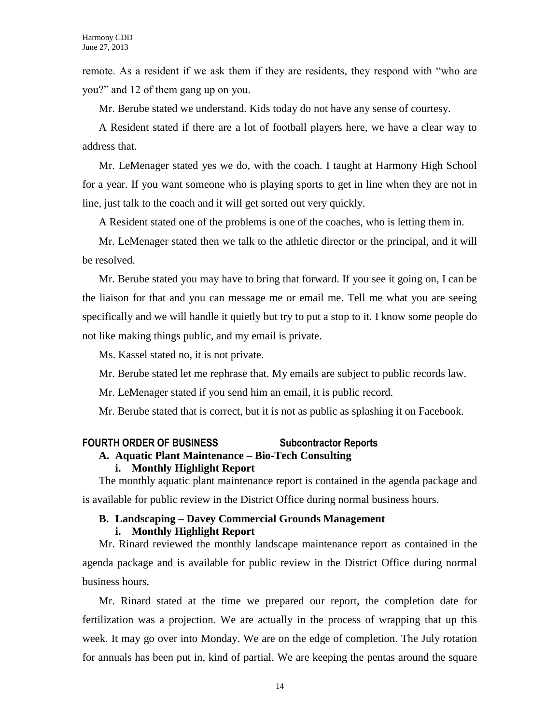remote. As a resident if we ask them if they are residents, they respond with "who are you?" and 12 of them gang up on you.

Mr. Berube stated we understand. Kids today do not have any sense of courtesy.

A Resident stated if there are a lot of football players here, we have a clear way to address that.

Mr. LeMenager stated yes we do, with the coach. I taught at Harmony High School for a year. If you want someone who is playing sports to get in line when they are not in line, just talk to the coach and it will get sorted out very quickly.

A Resident stated one of the problems is one of the coaches, who is letting them in.

Mr. LeMenager stated then we talk to the athletic director or the principal, and it will be resolved.

Mr. Berube stated you may have to bring that forward. If you see it going on, I can be the liaison for that and you can message me or email me. Tell me what you are seeing specifically and we will handle it quietly but try to put a stop to it. I know some people do not like making things public, and my email is private.

Ms. Kassel stated no, it is not private.

Mr. Berube stated let me rephrase that. My emails are subject to public records law.

Mr. LeMenager stated if you send him an email, it is public record.

Mr. Berube stated that is correct, but it is not as public as splashing it on Facebook.

# **FOURTH ORDER OF BUSINESS Subcontractor Reports**

# **A. Aquatic Plant Maintenance – Bio-Tech Consulting**

# **i. Monthly Highlight Report**

The monthly aquatic plant maintenance report is contained in the agenda package and is available for public review in the District Office during normal business hours.

# **B. Landscaping – Davey Commercial Grounds Management i. Monthly Highlight Report**

Mr. Rinard reviewed the monthly landscape maintenance report as contained in the agenda package and is available for public review in the District Office during normal business hours.

Mr. Rinard stated at the time we prepared our report, the completion date for fertilization was a projection. We are actually in the process of wrapping that up this week. It may go over into Monday. We are on the edge of completion. The July rotation for annuals has been put in, kind of partial. We are keeping the pentas around the square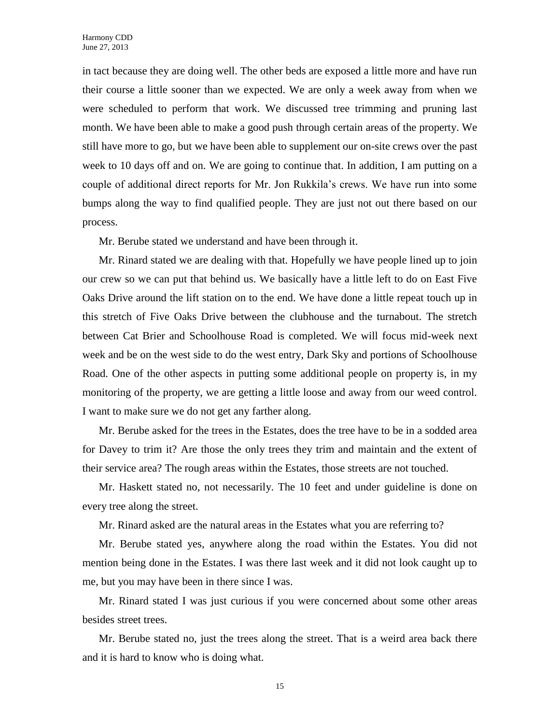in tact because they are doing well. The other beds are exposed a little more and have run their course a little sooner than we expected. We are only a week away from when we were scheduled to perform that work. We discussed tree trimming and pruning last month. We have been able to make a good push through certain areas of the property. We still have more to go, but we have been able to supplement our on-site crews over the past week to 10 days off and on. We are going to continue that. In addition, I am putting on a couple of additional direct reports for Mr. Jon Rukkila's crews. We have run into some bumps along the way to find qualified people. They are just not out there based on our process.

Mr. Berube stated we understand and have been through it.

Mr. Rinard stated we are dealing with that. Hopefully we have people lined up to join our crew so we can put that behind us. We basically have a little left to do on East Five Oaks Drive around the lift station on to the end. We have done a little repeat touch up in this stretch of Five Oaks Drive between the clubhouse and the turnabout. The stretch between Cat Brier and Schoolhouse Road is completed. We will focus mid-week next week and be on the west side to do the west entry, Dark Sky and portions of Schoolhouse Road. One of the other aspects in putting some additional people on property is, in my monitoring of the property, we are getting a little loose and away from our weed control. I want to make sure we do not get any farther along.

Mr. Berube asked for the trees in the Estates, does the tree have to be in a sodded area for Davey to trim it? Are those the only trees they trim and maintain and the extent of their service area? The rough areas within the Estates, those streets are not touched.

Mr. Haskett stated no, not necessarily. The 10 feet and under guideline is done on every tree along the street.

Mr. Rinard asked are the natural areas in the Estates what you are referring to?

Mr. Berube stated yes, anywhere along the road within the Estates. You did not mention being done in the Estates. I was there last week and it did not look caught up to me, but you may have been in there since I was.

Mr. Rinard stated I was just curious if you were concerned about some other areas besides street trees.

Mr. Berube stated no, just the trees along the street. That is a weird area back there and it is hard to know who is doing what.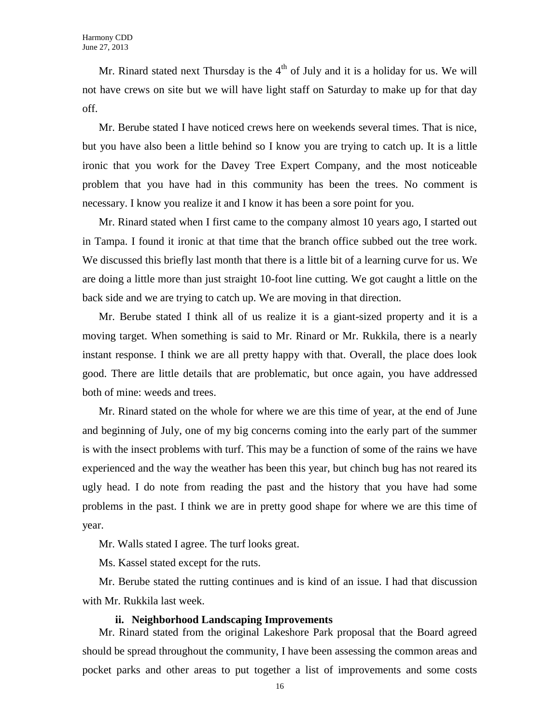Mr. Rinard stated next Thursday is the  $4<sup>th</sup>$  of July and it is a holiday for us. We will not have crews on site but we will have light staff on Saturday to make up for that day off.

Mr. Berube stated I have noticed crews here on weekends several times. That is nice, but you have also been a little behind so I know you are trying to catch up. It is a little ironic that you work for the Davey Tree Expert Company, and the most noticeable problem that you have had in this community has been the trees. No comment is necessary. I know you realize it and I know it has been a sore point for you.

Mr. Rinard stated when I first came to the company almost 10 years ago, I started out in Tampa. I found it ironic at that time that the branch office subbed out the tree work. We discussed this briefly last month that there is a little bit of a learning curve for us. We are doing a little more than just straight 10-foot line cutting. We got caught a little on the back side and we are trying to catch up. We are moving in that direction.

Mr. Berube stated I think all of us realize it is a giant-sized property and it is a moving target. When something is said to Mr. Rinard or Mr. Rukkila, there is a nearly instant response. I think we are all pretty happy with that. Overall, the place does look good. There are little details that are problematic, but once again, you have addressed both of mine: weeds and trees.

Mr. Rinard stated on the whole for where we are this time of year, at the end of June and beginning of July, one of my big concerns coming into the early part of the summer is with the insect problems with turf. This may be a function of some of the rains we have experienced and the way the weather has been this year, but chinch bug has not reared its ugly head. I do note from reading the past and the history that you have had some problems in the past. I think we are in pretty good shape for where we are this time of year.

Mr. Walls stated I agree. The turf looks great.

Ms. Kassel stated except for the ruts.

Mr. Berube stated the rutting continues and is kind of an issue. I had that discussion with Mr. Rukkila last week.

#### **ii. Neighborhood Landscaping Improvements**

Mr. Rinard stated from the original Lakeshore Park proposal that the Board agreed should be spread throughout the community, I have been assessing the common areas and pocket parks and other areas to put together a list of improvements and some costs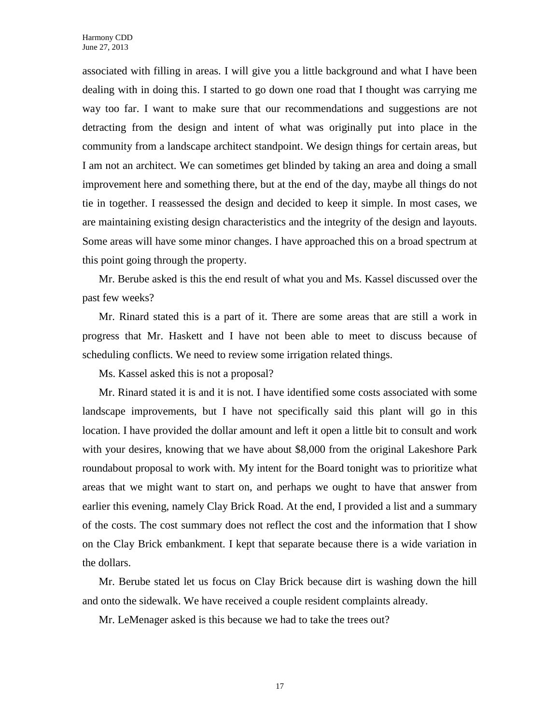associated with filling in areas. I will give you a little background and what I have been dealing with in doing this. I started to go down one road that I thought was carrying me way too far. I want to make sure that our recommendations and suggestions are not detracting from the design and intent of what was originally put into place in the community from a landscape architect standpoint. We design things for certain areas, but I am not an architect. We can sometimes get blinded by taking an area and doing a small improvement here and something there, but at the end of the day, maybe all things do not tie in together. I reassessed the design and decided to keep it simple. In most cases, we are maintaining existing design characteristics and the integrity of the design and layouts. Some areas will have some minor changes. I have approached this on a broad spectrum at this point going through the property.

Mr. Berube asked is this the end result of what you and Ms. Kassel discussed over the past few weeks?

Mr. Rinard stated this is a part of it. There are some areas that are still a work in progress that Mr. Haskett and I have not been able to meet to discuss because of scheduling conflicts. We need to review some irrigation related things.

Ms. Kassel asked this is not a proposal?

Mr. Rinard stated it is and it is not. I have identified some costs associated with some landscape improvements, but I have not specifically said this plant will go in this location. I have provided the dollar amount and left it open a little bit to consult and work with your desires, knowing that we have about \$8,000 from the original Lakeshore Park roundabout proposal to work with. My intent for the Board tonight was to prioritize what areas that we might want to start on, and perhaps we ought to have that answer from earlier this evening, namely Clay Brick Road. At the end, I provided a list and a summary of the costs. The cost summary does not reflect the cost and the information that I show on the Clay Brick embankment. I kept that separate because there is a wide variation in the dollars.

Mr. Berube stated let us focus on Clay Brick because dirt is washing down the hill and onto the sidewalk. We have received a couple resident complaints already.

Mr. LeMenager asked is this because we had to take the trees out?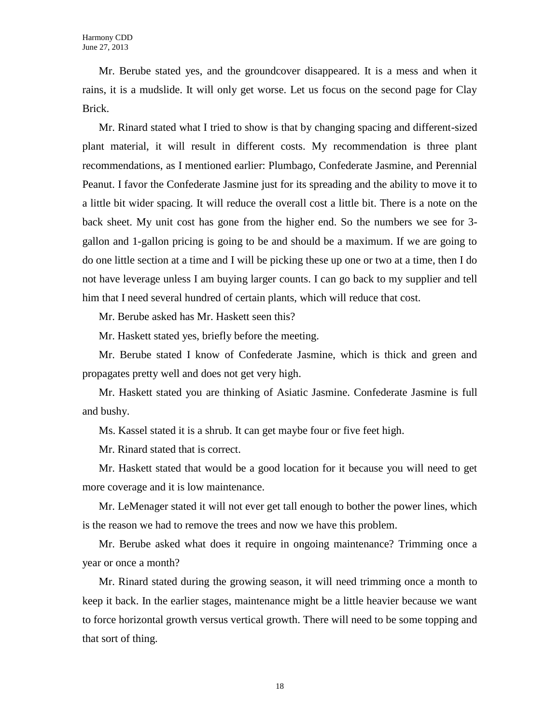Mr. Berube stated yes, and the groundcover disappeared. It is a mess and when it rains, it is a mudslide. It will only get worse. Let us focus on the second page for Clay Brick.

Mr. Rinard stated what I tried to show is that by changing spacing and different-sized plant material, it will result in different costs. My recommendation is three plant recommendations, as I mentioned earlier: Plumbago, Confederate Jasmine, and Perennial Peanut. I favor the Confederate Jasmine just for its spreading and the ability to move it to a little bit wider spacing. It will reduce the overall cost a little bit. There is a note on the back sheet. My unit cost has gone from the higher end. So the numbers we see for 3 gallon and 1-gallon pricing is going to be and should be a maximum. If we are going to do one little section at a time and I will be picking these up one or two at a time, then I do not have leverage unless I am buying larger counts. I can go back to my supplier and tell him that I need several hundred of certain plants, which will reduce that cost.

Mr. Berube asked has Mr. Haskett seen this?

Mr. Haskett stated yes, briefly before the meeting.

Mr. Berube stated I know of Confederate Jasmine, which is thick and green and propagates pretty well and does not get very high.

Mr. Haskett stated you are thinking of Asiatic Jasmine. Confederate Jasmine is full and bushy.

Ms. Kassel stated it is a shrub. It can get maybe four or five feet high.

Mr. Rinard stated that is correct.

Mr. Haskett stated that would be a good location for it because you will need to get more coverage and it is low maintenance.

Mr. LeMenager stated it will not ever get tall enough to bother the power lines, which is the reason we had to remove the trees and now we have this problem.

Mr. Berube asked what does it require in ongoing maintenance? Trimming once a year or once a month?

Mr. Rinard stated during the growing season, it will need trimming once a month to keep it back. In the earlier stages, maintenance might be a little heavier because we want to force horizontal growth versus vertical growth. There will need to be some topping and that sort of thing.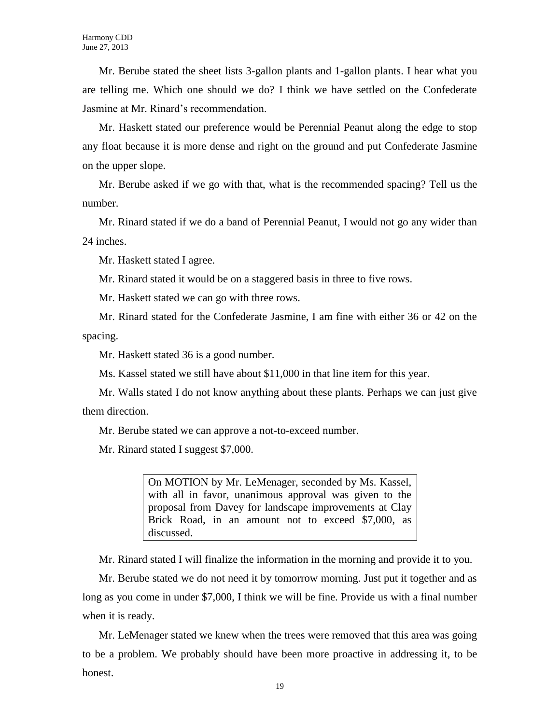Mr. Berube stated the sheet lists 3-gallon plants and 1-gallon plants. I hear what you are telling me. Which one should we do? I think we have settled on the Confederate Jasmine at Mr. Rinard's recommendation.

Mr. Haskett stated our preference would be Perennial Peanut along the edge to stop any float because it is more dense and right on the ground and put Confederate Jasmine on the upper slope.

Mr. Berube asked if we go with that, what is the recommended spacing? Tell us the number.

Mr. Rinard stated if we do a band of Perennial Peanut, I would not go any wider than 24 inches.

Mr. Haskett stated I agree.

Mr. Rinard stated it would be on a staggered basis in three to five rows.

Mr. Haskett stated we can go with three rows.

Mr. Rinard stated for the Confederate Jasmine, I am fine with either 36 or 42 on the spacing.

Mr. Haskett stated 36 is a good number.

Ms. Kassel stated we still have about \$11,000 in that line item for this year.

Mr. Walls stated I do not know anything about these plants. Perhaps we can just give them direction.

Mr. Berube stated we can approve a not-to-exceed number.

Mr. Rinard stated I suggest \$7,000.

On MOTION by Mr. LeMenager, seconded by Ms. Kassel, with all in favor, unanimous approval was given to the proposal from Davey for landscape improvements at Clay Brick Road, in an amount not to exceed \$7,000, as discussed.

Mr. Rinard stated I will finalize the information in the morning and provide it to you.

Mr. Berube stated we do not need it by tomorrow morning. Just put it together and as long as you come in under \$7,000, I think we will be fine. Provide us with a final number when it is ready.

Mr. LeMenager stated we knew when the trees were removed that this area was going to be a problem. We probably should have been more proactive in addressing it, to be honest.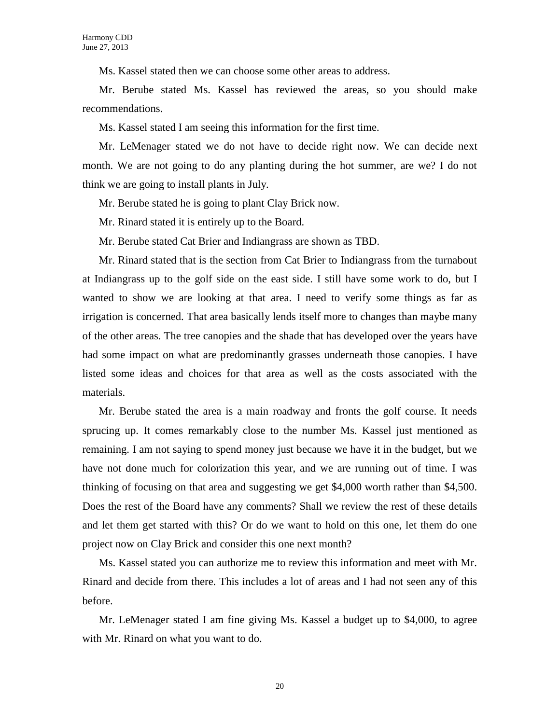Ms. Kassel stated then we can choose some other areas to address.

Mr. Berube stated Ms. Kassel has reviewed the areas, so you should make recommendations.

Ms. Kassel stated I am seeing this information for the first time.

Mr. LeMenager stated we do not have to decide right now. We can decide next month. We are not going to do any planting during the hot summer, are we? I do not think we are going to install plants in July.

Mr. Berube stated he is going to plant Clay Brick now.

Mr. Rinard stated it is entirely up to the Board.

Mr. Berube stated Cat Brier and Indiangrass are shown as TBD.

Mr. Rinard stated that is the section from Cat Brier to Indiangrass from the turnabout at Indiangrass up to the golf side on the east side. I still have some work to do, but I wanted to show we are looking at that area. I need to verify some things as far as irrigation is concerned. That area basically lends itself more to changes than maybe many of the other areas. The tree canopies and the shade that has developed over the years have had some impact on what are predominantly grasses underneath those canopies. I have listed some ideas and choices for that area as well as the costs associated with the materials.

Mr. Berube stated the area is a main roadway and fronts the golf course. It needs sprucing up. It comes remarkably close to the number Ms. Kassel just mentioned as remaining. I am not saying to spend money just because we have it in the budget, but we have not done much for colorization this year, and we are running out of time. I was thinking of focusing on that area and suggesting we get \$4,000 worth rather than \$4,500. Does the rest of the Board have any comments? Shall we review the rest of these details and let them get started with this? Or do we want to hold on this one, let them do one project now on Clay Brick and consider this one next month?

Ms. Kassel stated you can authorize me to review this information and meet with Mr. Rinard and decide from there. This includes a lot of areas and I had not seen any of this before.

Mr. LeMenager stated I am fine giving Ms. Kassel a budget up to \$4,000, to agree with Mr. Rinard on what you want to do.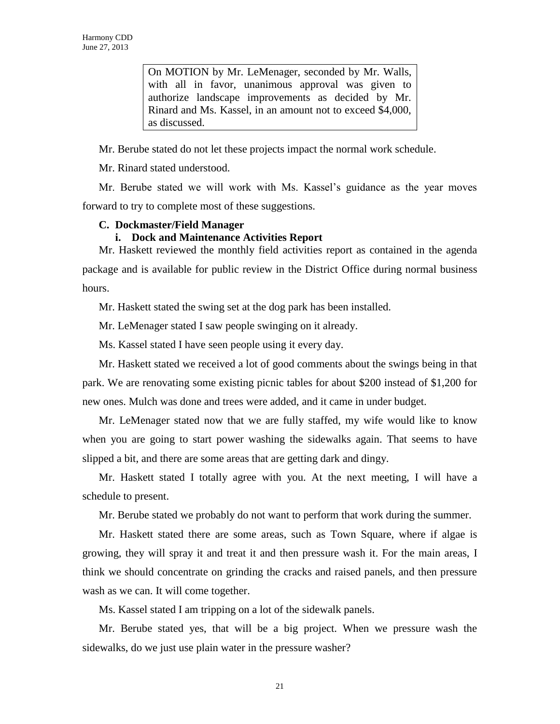On MOTION by Mr. LeMenager, seconded by Mr. Walls, with all in favor, unanimous approval was given to authorize landscape improvements as decided by Mr. Rinard and Ms. Kassel, in an amount not to exceed \$4,000, as discussed.

Mr. Berube stated do not let these projects impact the normal work schedule.

Mr. Rinard stated understood.

Mr. Berube stated we will work with Ms. Kassel's guidance as the year moves forward to try to complete most of these suggestions.

# **C. Dockmaster/Field Manager**

#### **i. Dock and Maintenance Activities Report**

Mr. Haskett reviewed the monthly field activities report as contained in the agenda package and is available for public review in the District Office during normal business hours.

Mr. Haskett stated the swing set at the dog park has been installed.

Mr. LeMenager stated I saw people swinging on it already.

Ms. Kassel stated I have seen people using it every day.

Mr. Haskett stated we received a lot of good comments about the swings being in that park. We are renovating some existing picnic tables for about \$200 instead of \$1,200 for new ones. Mulch was done and trees were added, and it came in under budget.

Mr. LeMenager stated now that we are fully staffed, my wife would like to know when you are going to start power washing the sidewalks again. That seems to have slipped a bit, and there are some areas that are getting dark and dingy.

Mr. Haskett stated I totally agree with you. At the next meeting, I will have a schedule to present.

Mr. Berube stated we probably do not want to perform that work during the summer.

Mr. Haskett stated there are some areas, such as Town Square, where if algae is growing, they will spray it and treat it and then pressure wash it. For the main areas, I think we should concentrate on grinding the cracks and raised panels, and then pressure wash as we can. It will come together.

Ms. Kassel stated I am tripping on a lot of the sidewalk panels.

Mr. Berube stated yes, that will be a big project. When we pressure wash the sidewalks, do we just use plain water in the pressure washer?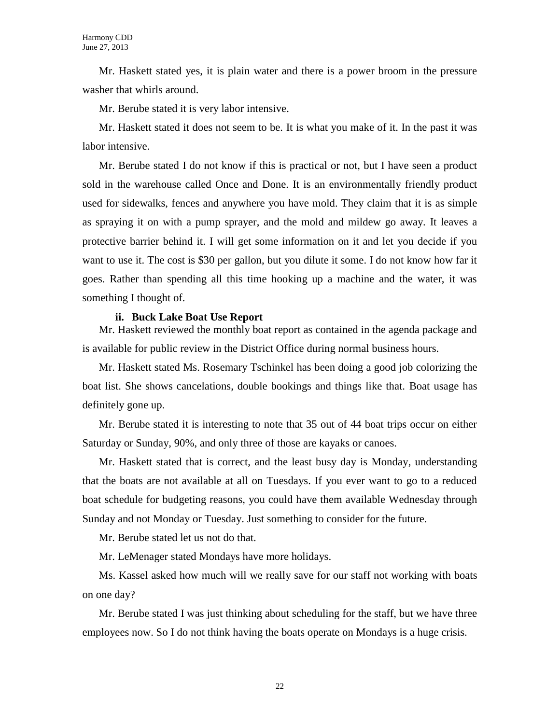Mr. Haskett stated yes, it is plain water and there is a power broom in the pressure washer that whirls around.

Mr. Berube stated it is very labor intensive.

Mr. Haskett stated it does not seem to be. It is what you make of it. In the past it was labor intensive.

Mr. Berube stated I do not know if this is practical or not, but I have seen a product sold in the warehouse called Once and Done. It is an environmentally friendly product used for sidewalks, fences and anywhere you have mold. They claim that it is as simple as spraying it on with a pump sprayer, and the mold and mildew go away. It leaves a protective barrier behind it. I will get some information on it and let you decide if you want to use it. The cost is \$30 per gallon, but you dilute it some. I do not know how far it goes. Rather than spending all this time hooking up a machine and the water, it was something I thought of.

#### **ii. Buck Lake Boat Use Report**

Mr. Haskett reviewed the monthly boat report as contained in the agenda package and is available for public review in the District Office during normal business hours.

Mr. Haskett stated Ms. Rosemary Tschinkel has been doing a good job colorizing the boat list. She shows cancelations, double bookings and things like that. Boat usage has definitely gone up.

Mr. Berube stated it is interesting to note that 35 out of 44 boat trips occur on either Saturday or Sunday, 90%, and only three of those are kayaks or canoes.

Mr. Haskett stated that is correct, and the least busy day is Monday, understanding that the boats are not available at all on Tuesdays. If you ever want to go to a reduced boat schedule for budgeting reasons, you could have them available Wednesday through Sunday and not Monday or Tuesday. Just something to consider for the future.

Mr. Berube stated let us not do that.

Mr. LeMenager stated Mondays have more holidays.

Ms. Kassel asked how much will we really save for our staff not working with boats on one day?

Mr. Berube stated I was just thinking about scheduling for the staff, but we have three employees now. So I do not think having the boats operate on Mondays is a huge crisis.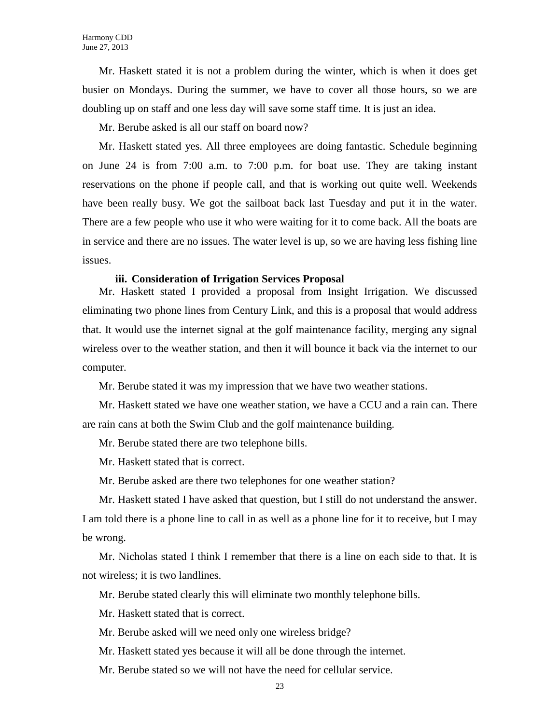Mr. Haskett stated it is not a problem during the winter, which is when it does get busier on Mondays. During the summer, we have to cover all those hours, so we are doubling up on staff and one less day will save some staff time. It is just an idea.

Mr. Berube asked is all our staff on board now?

Mr. Haskett stated yes. All three employees are doing fantastic. Schedule beginning on June 24 is from 7:00 a.m. to 7:00 p.m. for boat use. They are taking instant reservations on the phone if people call, and that is working out quite well. Weekends have been really busy. We got the sailboat back last Tuesday and put it in the water. There are a few people who use it who were waiting for it to come back. All the boats are in service and there are no issues. The water level is up, so we are having less fishing line issues.

#### **iii. Consideration of Irrigation Services Proposal**

Mr. Haskett stated I provided a proposal from Insight Irrigation. We discussed eliminating two phone lines from Century Link, and this is a proposal that would address that. It would use the internet signal at the golf maintenance facility, merging any signal wireless over to the weather station, and then it will bounce it back via the internet to our computer.

Mr. Berube stated it was my impression that we have two weather stations.

Mr. Haskett stated we have one weather station, we have a CCU and a rain can. There are rain cans at both the Swim Club and the golf maintenance building.

Mr. Berube stated there are two telephone bills.

Mr. Haskett stated that is correct.

Mr. Berube asked are there two telephones for one weather station?

Mr. Haskett stated I have asked that question, but I still do not understand the answer. I am told there is a phone line to call in as well as a phone line for it to receive, but I may be wrong.

Mr. Nicholas stated I think I remember that there is a line on each side to that. It is not wireless; it is two landlines.

Mr. Berube stated clearly this will eliminate two monthly telephone bills.

Mr. Haskett stated that is correct.

Mr. Berube asked will we need only one wireless bridge?

Mr. Haskett stated yes because it will all be done through the internet.

Mr. Berube stated so we will not have the need for cellular service.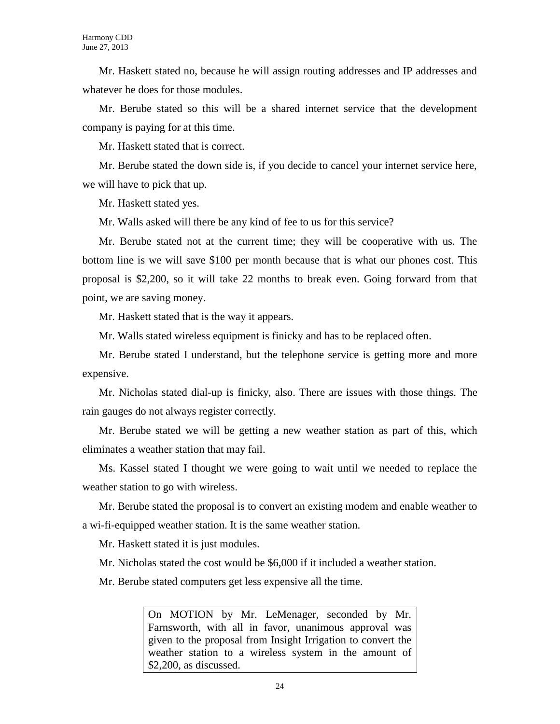Mr. Haskett stated no, because he will assign routing addresses and IP addresses and whatever he does for those modules.

Mr. Berube stated so this will be a shared internet service that the development company is paying for at this time.

Mr. Haskett stated that is correct.

Mr. Berube stated the down side is, if you decide to cancel your internet service here, we will have to pick that up.

Mr. Haskett stated yes.

Mr. Walls asked will there be any kind of fee to us for this service?

Mr. Berube stated not at the current time; they will be cooperative with us. The bottom line is we will save \$100 per month because that is what our phones cost. This proposal is \$2,200, so it will take 22 months to break even. Going forward from that point, we are saving money.

Mr. Haskett stated that is the way it appears.

Mr. Walls stated wireless equipment is finicky and has to be replaced often.

Mr. Berube stated I understand, but the telephone service is getting more and more expensive.

Mr. Nicholas stated dial-up is finicky, also. There are issues with those things. The rain gauges do not always register correctly.

Mr. Berube stated we will be getting a new weather station as part of this, which eliminates a weather station that may fail.

Ms. Kassel stated I thought we were going to wait until we needed to replace the weather station to go with wireless.

Mr. Berube stated the proposal is to convert an existing modem and enable weather to a wi-fi-equipped weather station. It is the same weather station.

Mr. Haskett stated it is just modules.

Mr. Nicholas stated the cost would be \$6,000 if it included a weather station.

Mr. Berube stated computers get less expensive all the time.

On MOTION by Mr. LeMenager, seconded by Mr. Farnsworth, with all in favor, unanimous approval was given to the proposal from Insight Irrigation to convert the weather station to a wireless system in the amount of \$2,200, as discussed.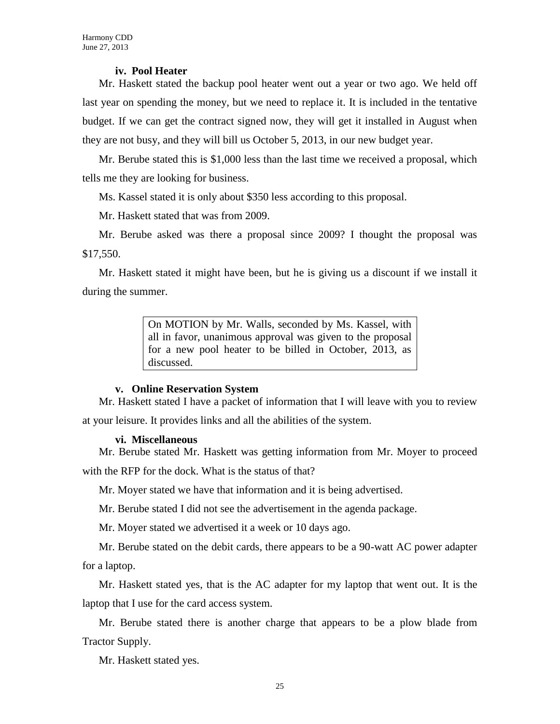#### **iv. Pool Heater**

Mr. Haskett stated the backup pool heater went out a year or two ago. We held off last year on spending the money, but we need to replace it. It is included in the tentative budget. If we can get the contract signed now, they will get it installed in August when they are not busy, and they will bill us October 5, 2013, in our new budget year.

Mr. Berube stated this is \$1,000 less than the last time we received a proposal, which tells me they are looking for business.

Ms. Kassel stated it is only about \$350 less according to this proposal.

Mr. Haskett stated that was from 2009.

Mr. Berube asked was there a proposal since 2009? I thought the proposal was \$17,550.

Mr. Haskett stated it might have been, but he is giving us a discount if we install it during the summer.

> On MOTION by Mr. Walls, seconded by Ms. Kassel, with all in favor, unanimous approval was given to the proposal for a new pool heater to be billed in October, 2013, as discussed.

#### **v. Online Reservation System**

Mr. Haskett stated I have a packet of information that I will leave with you to review

at your leisure. It provides links and all the abilities of the system.

### **vi. Miscellaneous**

Mr. Berube stated Mr. Haskett was getting information from Mr. Moyer to proceed with the RFP for the dock. What is the status of that?

Mr. Moyer stated we have that information and it is being advertised.

Mr. Berube stated I did not see the advertisement in the agenda package.

Mr. Moyer stated we advertised it a week or 10 days ago.

Mr. Berube stated on the debit cards, there appears to be a 90-watt AC power adapter for a laptop.

Mr. Haskett stated yes, that is the AC adapter for my laptop that went out. It is the laptop that I use for the card access system.

Mr. Berube stated there is another charge that appears to be a plow blade from Tractor Supply.

Mr. Haskett stated yes.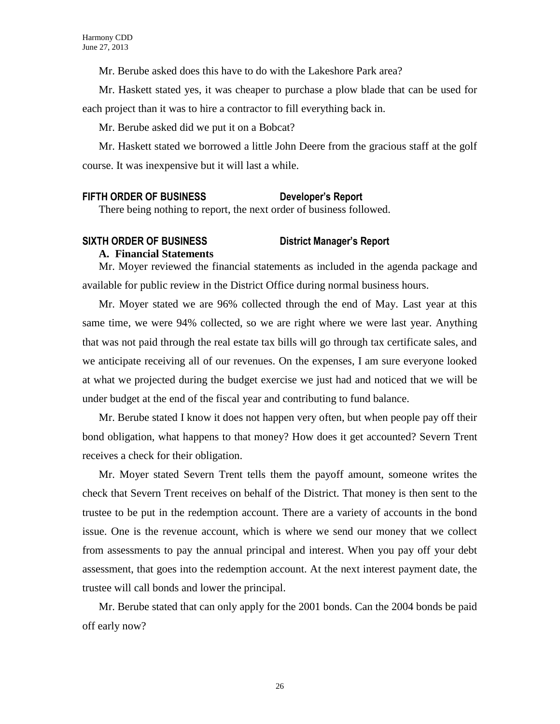Mr. Berube asked does this have to do with the Lakeshore Park area?

Mr. Haskett stated yes, it was cheaper to purchase a plow blade that can be used for each project than it was to hire a contractor to fill everything back in.

Mr. Berube asked did we put it on a Bobcat?

Mr. Haskett stated we borrowed a little John Deere from the gracious staff at the golf course. It was inexpensive but it will last a while.

# **FIFTH ORDER OF BUSINESS Developer's Report**

There being nothing to report, the next order of business followed.

# **SIXTH ORDER OF BUSINESS District Manager's Report A. Financial Statements**

Mr. Moyer reviewed the financial statements as included in the agenda package and available for public review in the District Office during normal business hours.

Mr. Moyer stated we are 96% collected through the end of May. Last year at this same time, we were 94% collected, so we are right where we were last year. Anything that was not paid through the real estate tax bills will go through tax certificate sales, and we anticipate receiving all of our revenues. On the expenses, I am sure everyone looked at what we projected during the budget exercise we just had and noticed that we will be under budget at the end of the fiscal year and contributing to fund balance.

Mr. Berube stated I know it does not happen very often, but when people pay off their bond obligation, what happens to that money? How does it get accounted? Severn Trent receives a check for their obligation.

Mr. Moyer stated Severn Trent tells them the payoff amount, someone writes the check that Severn Trent receives on behalf of the District. That money is then sent to the trustee to be put in the redemption account. There are a variety of accounts in the bond issue. One is the revenue account, which is where we send our money that we collect from assessments to pay the annual principal and interest. When you pay off your debt assessment, that goes into the redemption account. At the next interest payment date, the trustee will call bonds and lower the principal.

Mr. Berube stated that can only apply for the 2001 bonds. Can the 2004 bonds be paid off early now?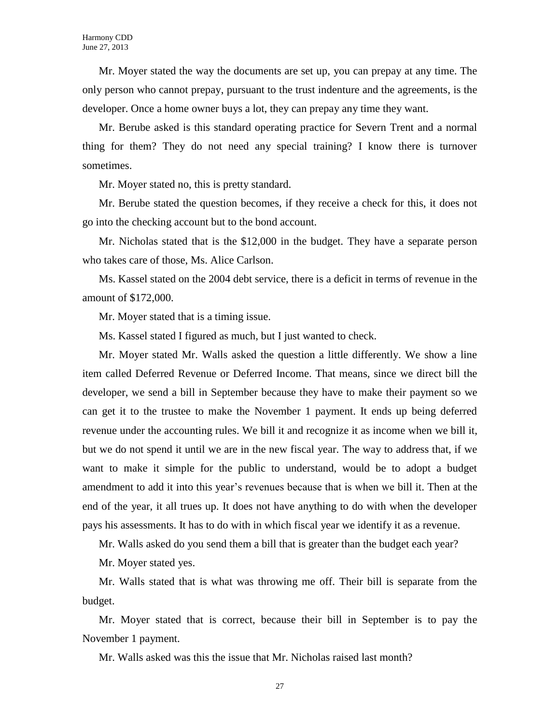Mr. Moyer stated the way the documents are set up, you can prepay at any time. The only person who cannot prepay, pursuant to the trust indenture and the agreements, is the developer. Once a home owner buys a lot, they can prepay any time they want.

Mr. Berube asked is this standard operating practice for Severn Trent and a normal thing for them? They do not need any special training? I know there is turnover sometimes.

Mr. Moyer stated no, this is pretty standard.

Mr. Berube stated the question becomes, if they receive a check for this, it does not go into the checking account but to the bond account.

Mr. Nicholas stated that is the \$12,000 in the budget. They have a separate person who takes care of those, Ms. Alice Carlson.

Ms. Kassel stated on the 2004 debt service, there is a deficit in terms of revenue in the amount of \$172,000.

Mr. Moyer stated that is a timing issue.

Ms. Kassel stated I figured as much, but I just wanted to check.

Mr. Moyer stated Mr. Walls asked the question a little differently. We show a line item called Deferred Revenue or Deferred Income. That means, since we direct bill the developer, we send a bill in September because they have to make their payment so we can get it to the trustee to make the November 1 payment. It ends up being deferred revenue under the accounting rules. We bill it and recognize it as income when we bill it, but we do not spend it until we are in the new fiscal year. The way to address that, if we want to make it simple for the public to understand, would be to adopt a budget amendment to add it into this year's revenues because that is when we bill it. Then at the end of the year, it all trues up. It does not have anything to do with when the developer pays his assessments. It has to do with in which fiscal year we identify it as a revenue.

Mr. Walls asked do you send them a bill that is greater than the budget each year?

Mr. Moyer stated yes.

Mr. Walls stated that is what was throwing me off. Their bill is separate from the budget.

Mr. Moyer stated that is correct, because their bill in September is to pay the November 1 payment.

Mr. Walls asked was this the issue that Mr. Nicholas raised last month?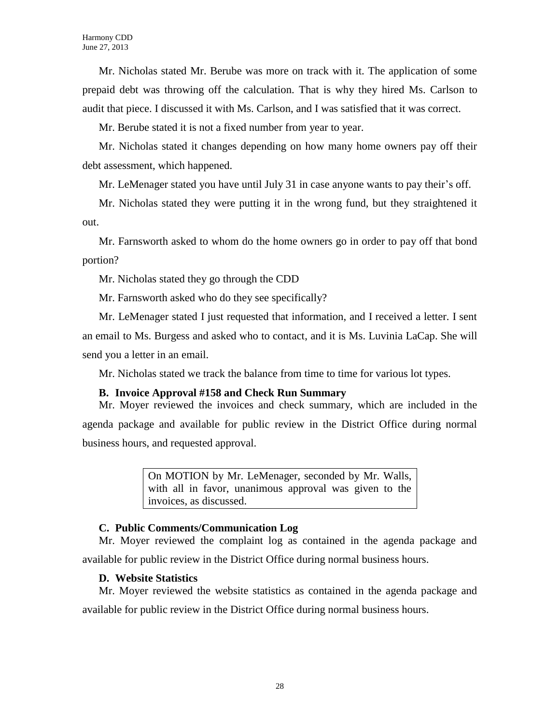Mr. Nicholas stated Mr. Berube was more on track with it. The application of some prepaid debt was throwing off the calculation. That is why they hired Ms. Carlson to audit that piece. I discussed it with Ms. Carlson, and I was satisfied that it was correct.

Mr. Berube stated it is not a fixed number from year to year.

Mr. Nicholas stated it changes depending on how many home owners pay off their debt assessment, which happened.

Mr. LeMenager stated you have until July 31 in case anyone wants to pay their's off.

Mr. Nicholas stated they were putting it in the wrong fund, but they straightened it out.

Mr. Farnsworth asked to whom do the home owners go in order to pay off that bond portion?

Mr. Nicholas stated they go through the CDD

Mr. Farnsworth asked who do they see specifically?

Mr. LeMenager stated I just requested that information, and I received a letter. I sent an email to Ms. Burgess and asked who to contact, and it is Ms. Luvinia LaCap. She will send you a letter in an email.

Mr. Nicholas stated we track the balance from time to time for various lot types.

# **B. Invoice Approval #158 and Check Run Summary**

Mr. Moyer reviewed the invoices and check summary, which are included in the agenda package and available for public review in the District Office during normal business hours, and requested approval.

> On MOTION by Mr. LeMenager, seconded by Mr. Walls, with all in favor, unanimous approval was given to the invoices, as discussed.

# **C. Public Comments/Communication Log**

Mr. Moyer reviewed the complaint log as contained in the agenda package and available for public review in the District Office during normal business hours.

# **D. Website Statistics**

Mr. Moyer reviewed the website statistics as contained in the agenda package and available for public review in the District Office during normal business hours.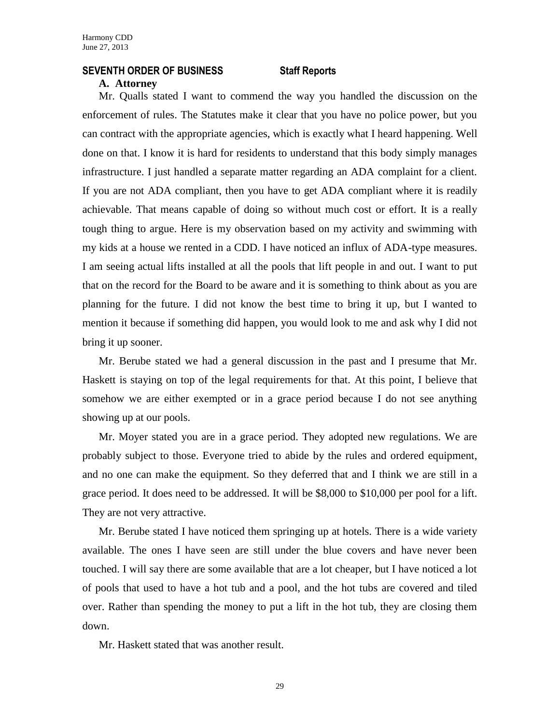#### **SEVENTH ORDER OF BUSINESS Staff Reports**

#### **A. Attorney**

Mr. Qualls stated I want to commend the way you handled the discussion on the enforcement of rules. The Statutes make it clear that you have no police power, but you can contract with the appropriate agencies, which is exactly what I heard happening. Well done on that. I know it is hard for residents to understand that this body simply manages infrastructure. I just handled a separate matter regarding an ADA complaint for a client. If you are not ADA compliant, then you have to get ADA compliant where it is readily achievable. That means capable of doing so without much cost or effort. It is a really tough thing to argue. Here is my observation based on my activity and swimming with my kids at a house we rented in a CDD. I have noticed an influx of ADA-type measures. I am seeing actual lifts installed at all the pools that lift people in and out. I want to put that on the record for the Board to be aware and it is something to think about as you are planning for the future. I did not know the best time to bring it up, but I wanted to mention it because if something did happen, you would look to me and ask why I did not bring it up sooner.

Mr. Berube stated we had a general discussion in the past and I presume that Mr. Haskett is staying on top of the legal requirements for that. At this point, I believe that somehow we are either exempted or in a grace period because I do not see anything showing up at our pools.

Mr. Moyer stated you are in a grace period. They adopted new regulations. We are probably subject to those. Everyone tried to abide by the rules and ordered equipment, and no one can make the equipment. So they deferred that and I think we are still in a grace period. It does need to be addressed. It will be \$8,000 to \$10,000 per pool for a lift. They are not very attractive.

Mr. Berube stated I have noticed them springing up at hotels. There is a wide variety available. The ones I have seen are still under the blue covers and have never been touched. I will say there are some available that are a lot cheaper, but I have noticed a lot of pools that used to have a hot tub and a pool, and the hot tubs are covered and tiled over. Rather than spending the money to put a lift in the hot tub, they are closing them down.

Mr. Haskett stated that was another result.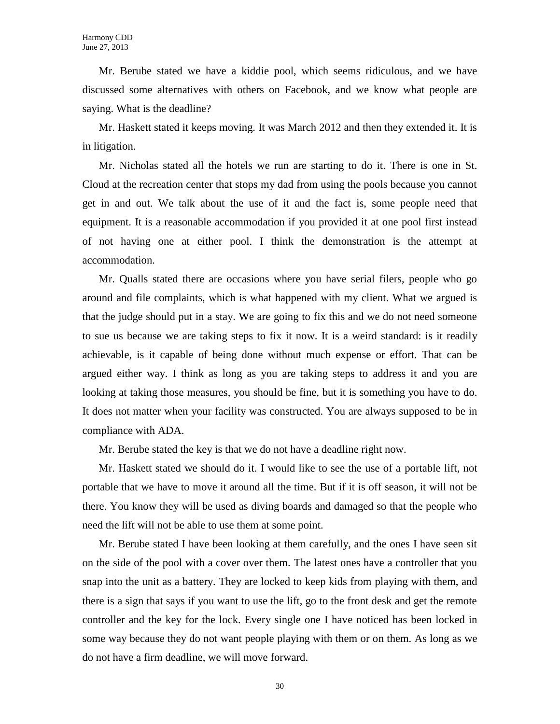Mr. Berube stated we have a kiddie pool, which seems ridiculous, and we have discussed some alternatives with others on Facebook, and we know what people are saying. What is the deadline?

Mr. Haskett stated it keeps moving. It was March 2012 and then they extended it. It is in litigation.

Mr. Nicholas stated all the hotels we run are starting to do it. There is one in St. Cloud at the recreation center that stops my dad from using the pools because you cannot get in and out. We talk about the use of it and the fact is, some people need that equipment. It is a reasonable accommodation if you provided it at one pool first instead of not having one at either pool. I think the demonstration is the attempt at accommodation.

Mr. Qualls stated there are occasions where you have serial filers, people who go around and file complaints, which is what happened with my client. What we argued is that the judge should put in a stay. We are going to fix this and we do not need someone to sue us because we are taking steps to fix it now. It is a weird standard: is it readily achievable, is it capable of being done without much expense or effort. That can be argued either way. I think as long as you are taking steps to address it and you are looking at taking those measures, you should be fine, but it is something you have to do. It does not matter when your facility was constructed. You are always supposed to be in compliance with ADA.

Mr. Berube stated the key is that we do not have a deadline right now.

Mr. Haskett stated we should do it. I would like to see the use of a portable lift, not portable that we have to move it around all the time. But if it is off season, it will not be there. You know they will be used as diving boards and damaged so that the people who need the lift will not be able to use them at some point.

Mr. Berube stated I have been looking at them carefully, and the ones I have seen sit on the side of the pool with a cover over them. The latest ones have a controller that you snap into the unit as a battery. They are locked to keep kids from playing with them, and there is a sign that says if you want to use the lift, go to the front desk and get the remote controller and the key for the lock. Every single one I have noticed has been locked in some way because they do not want people playing with them or on them. As long as we do not have a firm deadline, we will move forward.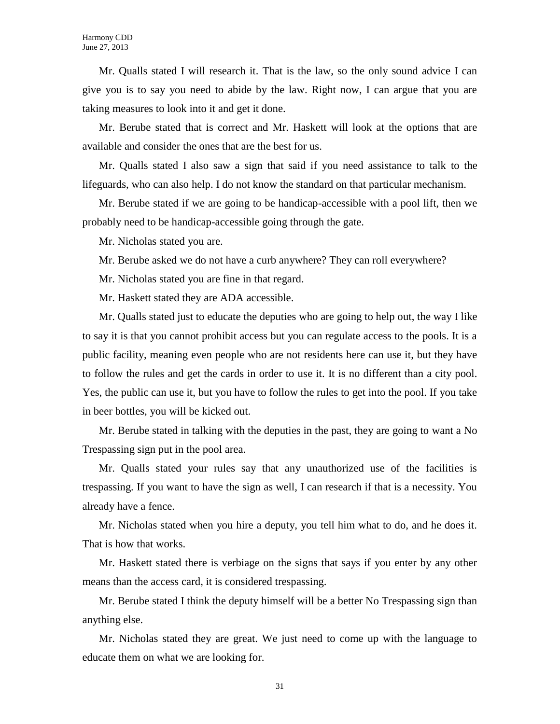Mr. Qualls stated I will research it. That is the law, so the only sound advice I can give you is to say you need to abide by the law. Right now, I can argue that you are taking measures to look into it and get it done.

Mr. Berube stated that is correct and Mr. Haskett will look at the options that are available and consider the ones that are the best for us.

Mr. Qualls stated I also saw a sign that said if you need assistance to talk to the lifeguards, who can also help. I do not know the standard on that particular mechanism.

Mr. Berube stated if we are going to be handicap-accessible with a pool lift, then we probably need to be handicap-accessible going through the gate.

Mr. Nicholas stated you are.

Mr. Berube asked we do not have a curb anywhere? They can roll everywhere?

Mr. Nicholas stated you are fine in that regard.

Mr. Haskett stated they are ADA accessible.

Mr. Qualls stated just to educate the deputies who are going to help out, the way I like to say it is that you cannot prohibit access but you can regulate access to the pools. It is a public facility, meaning even people who are not residents here can use it, but they have to follow the rules and get the cards in order to use it. It is no different than a city pool. Yes, the public can use it, but you have to follow the rules to get into the pool. If you take in beer bottles, you will be kicked out.

Mr. Berube stated in talking with the deputies in the past, they are going to want a No Trespassing sign put in the pool area.

Mr. Qualls stated your rules say that any unauthorized use of the facilities is trespassing. If you want to have the sign as well, I can research if that is a necessity. You already have a fence.

Mr. Nicholas stated when you hire a deputy, you tell him what to do, and he does it. That is how that works.

Mr. Haskett stated there is verbiage on the signs that says if you enter by any other means than the access card, it is considered trespassing.

Mr. Berube stated I think the deputy himself will be a better No Trespassing sign than anything else.

Mr. Nicholas stated they are great. We just need to come up with the language to educate them on what we are looking for.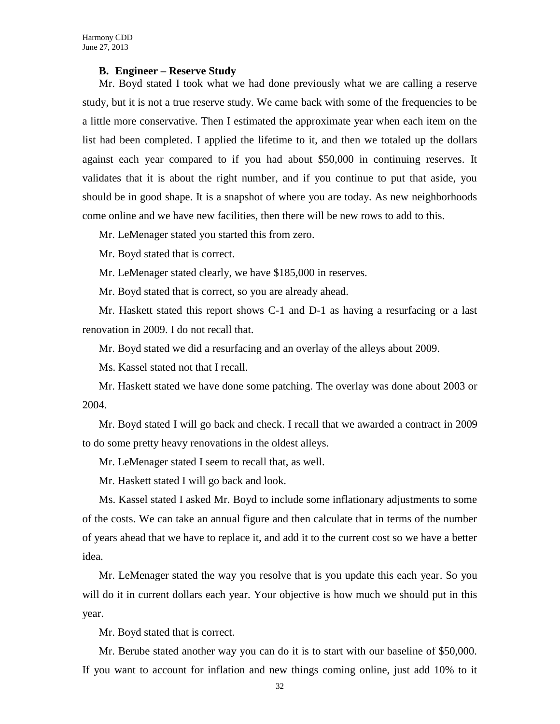#### **B. Engineer – Reserve Study**

Mr. Boyd stated I took what we had done previously what we are calling a reserve study, but it is not a true reserve study. We came back with some of the frequencies to be a little more conservative. Then I estimated the approximate year when each item on the list had been completed. I applied the lifetime to it, and then we totaled up the dollars against each year compared to if you had about \$50,000 in continuing reserves. It validates that it is about the right number, and if you continue to put that aside, you should be in good shape. It is a snapshot of where you are today. As new neighborhoods come online and we have new facilities, then there will be new rows to add to this.

Mr. LeMenager stated you started this from zero.

Mr. Boyd stated that is correct.

Mr. LeMenager stated clearly, we have \$185,000 in reserves.

Mr. Boyd stated that is correct, so you are already ahead.

Mr. Haskett stated this report shows C-1 and D-1 as having a resurfacing or a last renovation in 2009. I do not recall that.

Mr. Boyd stated we did a resurfacing and an overlay of the alleys about 2009.

Ms. Kassel stated not that I recall.

Mr. Haskett stated we have done some patching. The overlay was done about 2003 or 2004.

Mr. Boyd stated I will go back and check. I recall that we awarded a contract in 2009 to do some pretty heavy renovations in the oldest alleys.

Mr. LeMenager stated I seem to recall that, as well.

Mr. Haskett stated I will go back and look.

Ms. Kassel stated I asked Mr. Boyd to include some inflationary adjustments to some of the costs. We can take an annual figure and then calculate that in terms of the number of years ahead that we have to replace it, and add it to the current cost so we have a better idea.

Mr. LeMenager stated the way you resolve that is you update this each year. So you will do it in current dollars each year. Your objective is how much we should put in this year.

Mr. Boyd stated that is correct.

Mr. Berube stated another way you can do it is to start with our baseline of \$50,000. If you want to account for inflation and new things coming online, just add 10% to it